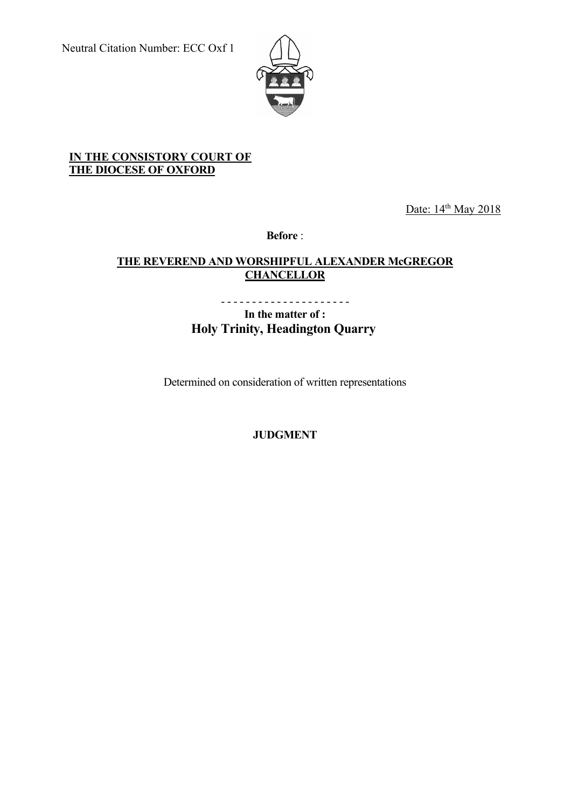

## **IN THE CONSISTORY COURT OF THE DIOCESE OF OXFORD**

Date: 14<sup>th</sup> May 2018

**Before** :

## **THE REVEREND AND WORSHIPFUL ALEXANDER McGREGOR CHANCELLOR**

- - - - - - - - - - - - - - - - - - - - - **In the matter of : Holy Trinity, Headington Quarry**

Determined on consideration of written representations

**JUDGMENT**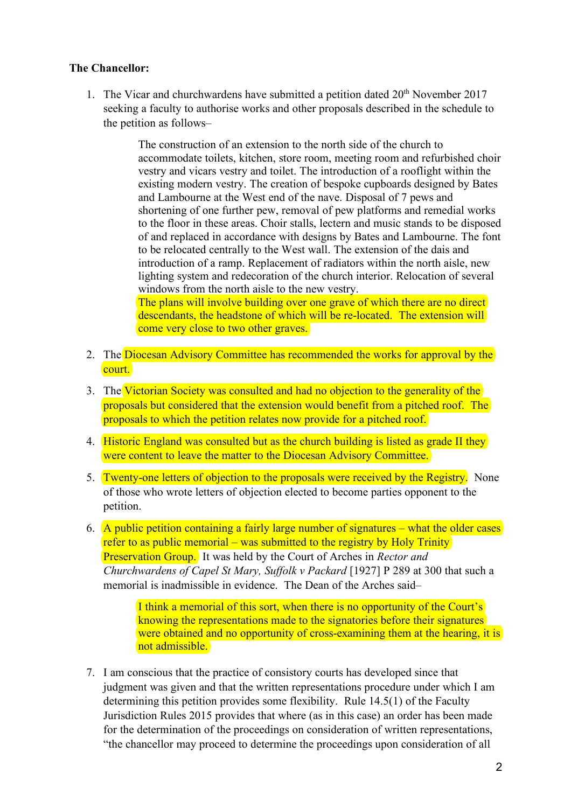## **The Chancellor:**

1. The Vicar and churchwardens have submitted a petition dated  $20<sup>th</sup>$  November 2017 seeking a faculty to authorise works and other proposals described in the schedule to the petition as follows–

> The construction of an extension to the north side of the church to accommodate toilets, kitchen, store room, meeting room and refurbished choir vestry and vicars vestry and toilet. The introduction of a rooflight within the existing modern vestry. The creation of bespoke cupboards designed by Bates and Lambourne at the West end of the nave. Disposal of 7 pews and shortening of one further pew, removal of pew platforms and remedial works to the floor in these areas. Choir stalls, lectern and music stands to be disposed of and replaced in accordance with designs by Bates and Lambourne. The font to be relocated centrally to the West wall. The extension of the dais and introduction of a ramp. Replacement of radiators within the north aisle, new lighting system and redecoration of the church interior. Relocation of several windows from the north aisle to the new vestry.

The plans will involve building over one grave of which there are no direct descendants, the headstone of which will be re-located. The extension will come very close to two other graves.

- 2. The Diocesan Advisory Committee has recommended the works for approval by the court.
- 3. The Victorian Society was consulted and had no objection to the generality of the proposals but considered that the extension would benefit from a pitched roof. The proposals to which the petition relates now provide for a pitched roof.
- 4. Historic England was consulted but as the church building is listed as grade II they were content to leave the matter to the Diocesan Advisory Committee.
- 5. Twenty-one letters of objection to the proposals were received by the Registry. None of those who wrote letters of objection elected to become parties opponent to the petition.
- 6. A public petition containing a fairly large number of signatures what the older cases refer to as public memorial – was submitted to the registry by Holy Trinity Preservation Group. It was held by the Court of Arches in *Rector and Churchwardens of Capel St Mary, Suffolk v Packard* [1927] P 289 at 300 that such a memorial is inadmissible in evidence. The Dean of the Arches said–

I think a memorial of this sort, when there is no opportunity of the Court's knowing the representations made to the signatories before their signatures were obtained and no opportunity of cross-examining them at the hearing, it is not admissible.

7. I am conscious that the practice of consistory courts has developed since that judgment was given and that the written representations procedure under which I am determining this petition provides some flexibility. Rule 14.5(1) of the Faculty Jurisdiction Rules 2015 provides that where (as in this case) an order has been made for the determination of the proceedings on consideration of written representations, "the chancellor may proceed to determine the proceedings upon consideration of all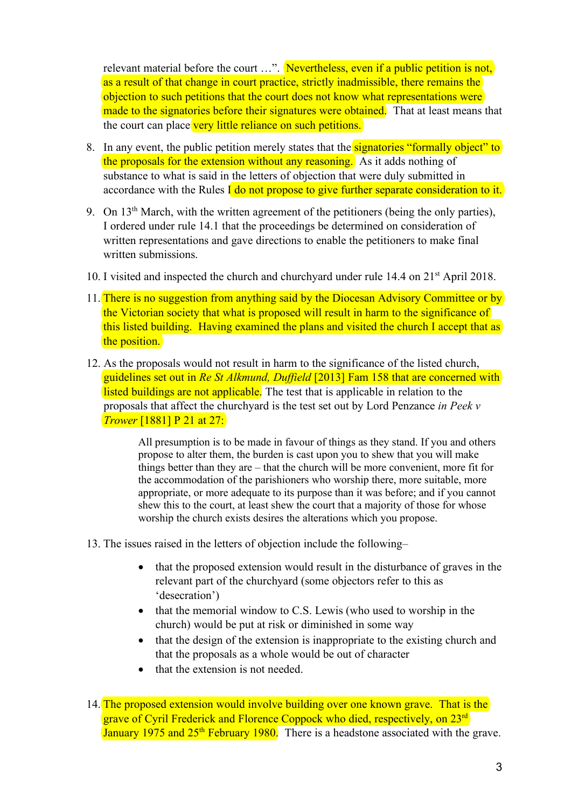relevant material before the court ...". Nevertheless, even if a public petition is not, as a result of that change in court practice, strictly inadmissible, there remains the objection to such petitions that the court does not know what representations were made to the signatories before their signatures were obtained. That at least means that the court can place very little reliance on such petitions.

- 8. In any event, the public petition merely states that the **signatories** "formally object" to the proposals for the extension without any reasoning. As it adds nothing of substance to what is said in the letters of objection that were duly submitted in accordance with the Rules I do not propose to give further separate consideration to it.
- 9. On  $13<sup>th</sup>$  March, with the written agreement of the petitioners (being the only parties), I ordered under rule 14.1 that the proceedings be determined on consideration of written representations and gave directions to enable the petitioners to make final written submissions.
- 10. I visited and inspected the church and churchyard under rule 14.4 on 21st April 2018.
- 11. There is no suggestion from anything said by the Diocesan Advisory Committee or by the Victorian society that what is proposed will result in harm to the significance of this listed building. Having examined the plans and visited the church I accept that as the position.
- 12. As the proposals would not result in harm to the significance of the listed church, guidelines set out in *Re St Alkmund, Duffield* [2013] Fam 158 that are concerned with listed buildings are not applicable. The test that is applicable in relation to the proposals that affect the churchyard is the test set out by Lord Penzance *in Peek v Trower* [1881] P 21 at 27:

All presumption is to be made in favour of things as they stand. If you and others propose to alter them, the burden is cast upon you to shew that you will make things better than they are – that the church will be more convenient, more fit for the accommodation of the parishioners who worship there, more suitable, more appropriate, or more adequate to its purpose than it was before; and if you cannot shew this to the court, at least shew the court that a majority of those for whose worship the church exists desires the alterations which you propose.

- 13. The issues raised in the letters of objection include the following–
	- that the proposed extension would result in the disturbance of graves in the relevant part of the churchyard (some objectors refer to this as 'desecration')
	- that the memorial window to C.S. Lewis (who used to worship in the church) would be put at risk or diminished in some way
	- that the design of the extension is inappropriate to the existing church and that the proposals as a whole would be out of character
	- that the extension is not needed.

<sup>14.</sup> The proposed extension would involve building over one known grave. That is the grave of Cyril Frederick and Florence Coppock who died, respectively, on 23rd January 1975 and  $25<sup>th</sup>$  February 1980. There is a headstone associated with the grave.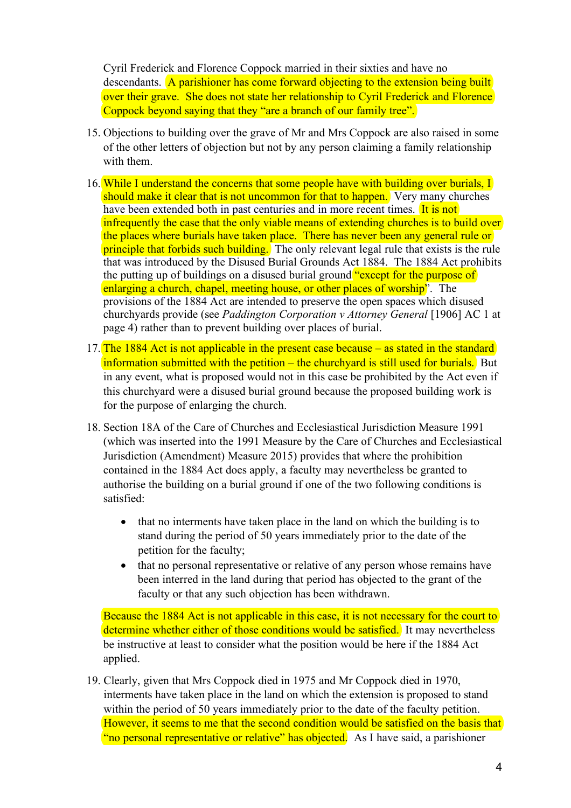Cyril Frederick and Florence Coppock married in their sixties and have no descendants. A parishioner has come forward objecting to the extension being built over their grave. She does not state her relationship to Cyril Frederick and Florence Coppock beyond saying that they "are a branch of our family tree".

- 15. Objections to building over the grave of Mr and Mrs Coppock are also raised in some of the other letters of objection but not by any person claiming a family relationship with them.
- 16. While I understand the concerns that some people have with building over burials, I should make it clear that is not uncommon for that to happen. Very many churches have been extended both in past centuries and in more recent times. It is not infrequently the case that the only viable means of extending churches is to build over the places where burials have taken place. There has never been any general rule or principle that forbids such building. The only relevant legal rule that exists is the rule that was introduced by the Disused Burial Grounds Act 1884. The 1884 Act prohibits the putting up of buildings on a disused burial ground "except for the purpose of enlarging a church, chapel, meeting house, or other places of worship". The provisions of the 1884 Act are intended to preserve the open spaces which disused churchyards provide (see *Paddington Corporation v Attorney General* [1906] AC 1 at page 4) rather than to prevent building over places of burial.
- 17. The 1884 Act is not applicable in the present case because as stated in the standard information submitted with the petition – the churchyard is still used for burials. But in any event, what is proposed would not in this case be prohibited by the Act even if this churchyard were a disused burial ground because the proposed building work is for the purpose of enlarging the church.
- 18. Section 18A of the Care of Churches and Ecclesiastical Jurisdiction Measure 1991 (which was inserted into the 1991 Measure by the Care of Churches and Ecclesiastical Jurisdiction (Amendment) Measure 2015) provides that where the prohibition contained in the 1884 Act does apply, a faculty may nevertheless be granted to authorise the building on a burial ground if one of the two following conditions is satisfied:
	- that no interments have taken place in the land on which the building is to stand during the period of 50 years immediately prior to the date of the petition for the faculty;
	- that no personal representative or relative of any person whose remains have been interred in the land during that period has objected to the grant of the faculty or that any such objection has been withdrawn.

Because the 1884 Act is not applicable in this case, it is not necessary for the court to determine whether either of those conditions would be satisfied. It may nevertheless be instructive at least to consider what the position would be here if the 1884 Act applied.

19. Clearly, given that Mrs Coppock died in 1975 and Mr Coppock died in 1970, interments have taken place in the land on which the extension is proposed to stand within the period of 50 years immediately prior to the date of the faculty petition. However, it seems to me that the second condition would be satisfied on the basis that "no personal representative or relative" has objected. As I have said, a parishioner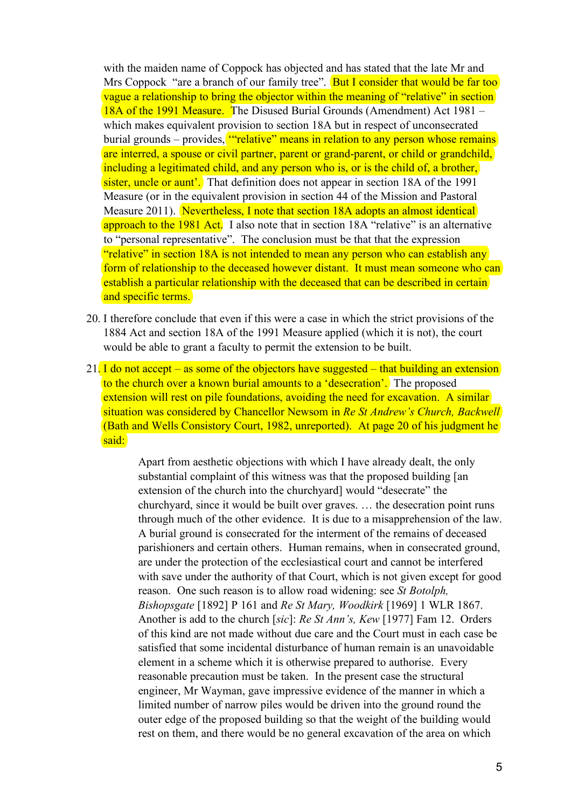with the maiden name of Coppock has objected and has stated that the late Mr and Mrs Coppock "are a branch of our family tree". **But I consider that would be far too** vague a relationship to bring the objector within the meaning of "relative" in section 18A of the 1991 Measure. The Disused Burial Grounds (Amendment) Act 1981 – which makes equivalent provision to section 18A but in respect of unconsecrated burial grounds – provides, "relative" means in relation to any person whose remains are interred, a spouse or civil partner, parent or grand-parent, or child or grandchild, including a legitimated child, and any person who is, or is the child of, a brother, sister, uncle or aunt'. That definition does not appear in section 18A of the 1991 Measure (or in the equivalent provision in section 44 of the Mission and Pastoral Measure 2011). Nevertheless, I note that section 18A adopts an almost identical approach to the 1981 Act. I also note that in section 18A "relative" is an alternative to "personal representative". The conclusion must be that that the expression "relative" in section 18A is not intended to mean any person who can establish any form of relationship to the deceased however distant. It must mean someone who can establish a particular relationship with the deceased that can be described in certain and specific terms.

- 20. I therefore conclude that even if this were a case in which the strict provisions of the 1884 Act and section 18A of the 1991 Measure applied (which it is not), the court would be able to grant a faculty to permit the extension to be built.
- 21. I do not accept as some of the objectors have suggested that building an extension to the church over a known burial amounts to a 'desecration'. The proposed extension will rest on pile foundations, avoiding the need for excavation. A similar situation was considered by Chancellor Newsom in *Re St Andrew's Church, Backwell* (Bath and Wells Consistory Court, 1982, unreported). At page 20 of his judgment he said:

Apart from aesthetic objections with which I have already dealt, the only substantial complaint of this witness was that the proposed building [an extension of the church into the churchyard] would "desecrate" the churchyard, since it would be built over graves. … the desecration point runs through much of the other evidence. It is due to a misapprehension of the law. A burial ground is consecrated for the interment of the remains of deceased parishioners and certain others. Human remains, when in consecrated ground, are under the protection of the ecclesiastical court and cannot be interfered with save under the authority of that Court, which is not given except for good reason. One such reason is to allow road widening: see *St Botolph, Bishopsgate* [1892] P 161 and *Re St Mary, Woodkirk* [1969] 1 WLR 1867. Another is add to the church [*sic*]: *Re St Ann's, Kew* [1977] Fam 12. Orders of this kind are not made without due care and the Court must in each case be satisfied that some incidental disturbance of human remain is an unavoidable element in a scheme which it is otherwise prepared to authorise. Every reasonable precaution must be taken. In the present case the structural engineer, Mr Wayman, gave impressive evidence of the manner in which a limited number of narrow piles would be driven into the ground round the outer edge of the proposed building so that the weight of the building would rest on them, and there would be no general excavation of the area on which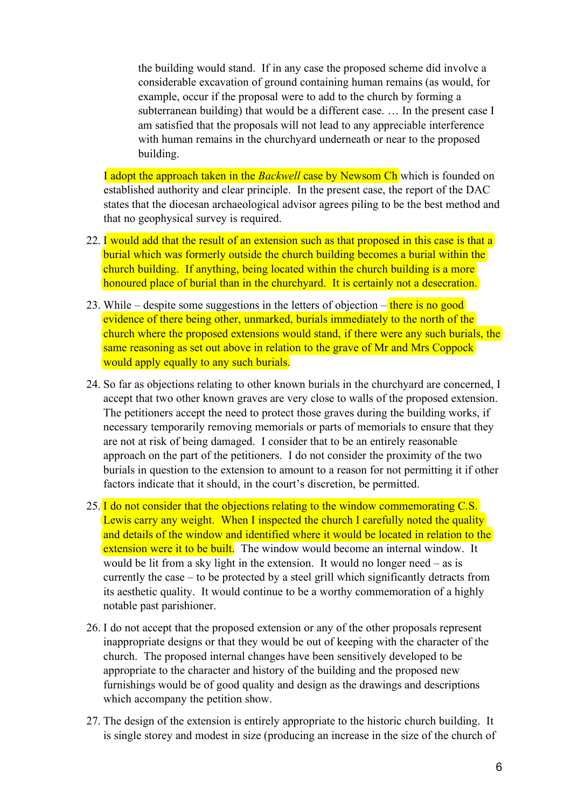the building would stand. If in any case the proposed scheme did involve a considerable excavation of ground containing human remains (as would, for example, occur if the proposal were to add to the church by forming a subterranean building) that would be a different case. … In the present case I am satisfied that the proposals will not lead to any appreciable interference with human remains in the churchyard underneath or near to the proposed building.

I adopt the approach taken in the *Backwell* case by Newsom Ch which is founded on established authority and clear principle. In the present case, the report of the DAC states that the diocesan archaeological advisor agrees piling to be the best method and that no geophysical survey is required.

- 22. I would add that the result of an extension such as that proposed in this case is that a burial which was formerly outside the church building becomes a burial within the church building. If anything, being located within the church building is a more honoured place of burial than in the churchyard. It is certainly not a desecration.
- 23. While despite some suggestions in the letters of objection  $-\frac{1}{\pi}$  there is no good evidence of there being other, unmarked, burials immediately to the north of the church where the proposed extensions would stand, if there were any such burials, the same reasoning as set out above in relation to the grave of Mr and Mrs Coppock would apply equally to any such burials.
- 24. So far as objections relating to other known burials in the churchyard are concerned, I accept that two other known graves are very close to walls of the proposed extension. The petitioners accept the need to protect those graves during the building works, if necessary temporarily removing memorials or parts of memorials to ensure that they are not at risk of being damaged. I consider that to be an entirely reasonable approach on the part of the petitioners. I do not consider the proximity of the two burials in question to the extension to amount to a reason for not permitting it if other factors indicate that it should, in the court's discretion, be permitted.
- 25. I do not consider that the objections relating to the window commemorating C.S. Lewis carry any weight. When I inspected the church I carefully noted the quality and details of the window and identified where it would be located in relation to the extension were it to be built. The window would become an internal window. It would be lit from a sky light in the extension. It would no longer need – as is currently the case – to be protected by a steel grill which significantly detracts from its aesthetic quality. It would continue to be a worthy commemoration of a highly notable past parishioner.
- 26. I do not accept that the proposed extension or any of the other proposals represent inappropriate designs or that they would be out of keeping with the character of the church. The proposed internal changes have been sensitively developed to be appropriate to the character and history of the building and the proposed new furnishings would be of good quality and design as the drawings and descriptions which accompany the petition show.
- 27. The design of the extension is entirely appropriate to the historic church building. It is single storey and modest in size (producing an increase in the size of the church of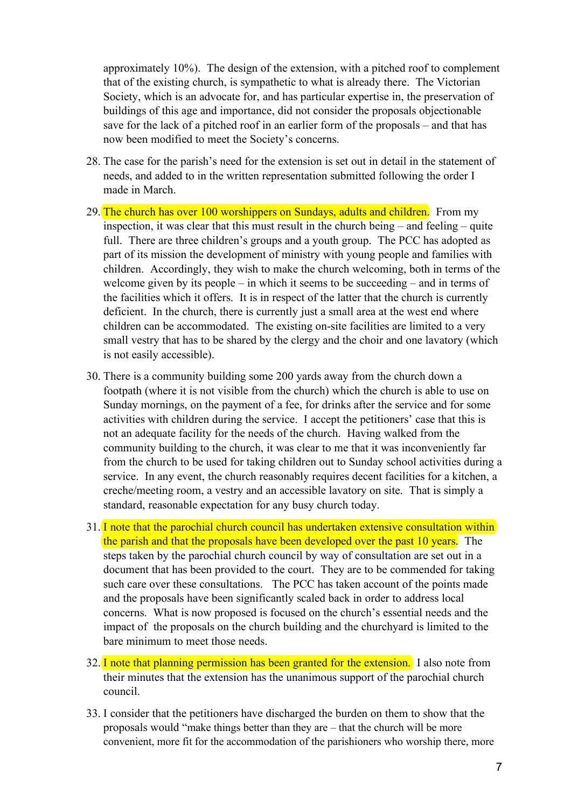approximately 10%). The design of the extension, with a pitched roof to complement that of the existing church, is sympathetic to what is already there. The Victorian Society, which is an advocate for, and has particular expertise in, the preservation of buildings of this age and importance, did not consider the proposals objectionable save for the lack of a pitched roof in an earlier form of the proposals – and that has now been modified to meet the Society's concerns.

- 28. The case for the parish's need for the extension is set out in detail in the statement of needs, and added to in the written representation submitted following the order I made in March.
- 29. The church has over 100 worshippers on Sundays, adults and children. From my inspection, it was clear that this must result in the church being – and feeling – quite full. There are three children's groups and a youth group. The PCC has adopted as part of its mission the development of ministry with young people and families with children. Accordingly, they wish to make the church welcoming, both in terms of the welcome given by its people – in which it seems to be succeeding – and in terms of the facilities which it offers. It is in respect of the latter that the church is currently deficient. In the church, there is currently just a small area at the west end where children can be accommodated. The existing on-site facilities are limited to a very small vestry that has to be shared by the clergy and the choir and one lavatory (which is not easily accessible).
- 30. There is a community building some 200 yards away from the church down a footpath (where it is not visible from the church) which the church is able to use on Sunday mornings, on the payment of a fee, for drinks after the service and for some activities with children during the service. I accept the petitioners' case that this is not an adequate facility for the needs of the church. Having walked from the community building to the church, it was clear to me that it was inconveniently far from the church to be used for taking children out to Sunday school activities during a service. In any event, the church reasonably requires decent facilities for a kitchen, a creche/meeting room, a vestry and an accessible lavatory on site. That is simply a standard, reasonable expectation for any busy church today.
- 31. I note that the parochial church council has undertaken extensive consultation within the parish and that the proposals have been developed over the past 10 years. The steps taken by the parochial church council by way of consultation are set out in a document that has been provided to the court. They are to be commended for taking such care over these consultations. The PCC has taken account of the points made and the proposals have been significantly scaled back in order to address local concerns. What is now proposed is focused on the church's essential needs and the impact of the proposals on the church building and the churchyard is limited to the bare minimum to meet those needs.
- 32. I note that planning permission has been granted for the extension. I also note from their minutes that the extension has the unanimous support of the parochial church council.
- 33. I consider that the petitioners have discharged the burden on them to show that the proposals would "make things better than they are – that the church will be more convenient, more fit for the accommodation of the parishioners who worship there, more